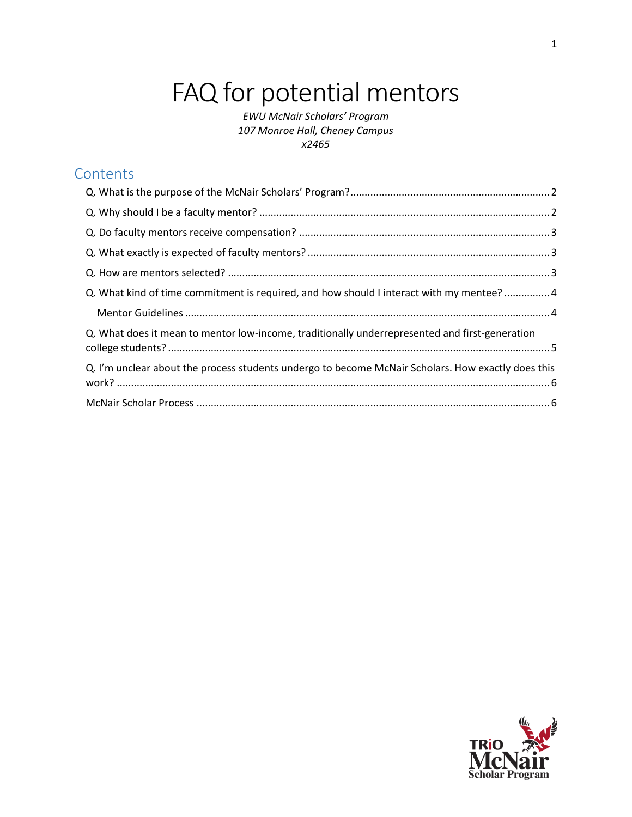# FAQ for potential mentors

*EWU McNair Scholars' Program 107 Monroe Hall, Cheney Campus x2465*

# **Contents**

| Q. What kind of time commitment is required, and how should I interact with my mentee? 4           |  |
|----------------------------------------------------------------------------------------------------|--|
|                                                                                                    |  |
| Q. What does it mean to mentor low-income, traditionally underrepresented and first-generation     |  |
| Q. I'm unclear about the process students undergo to become McNair Scholars. How exactly does this |  |
|                                                                                                    |  |

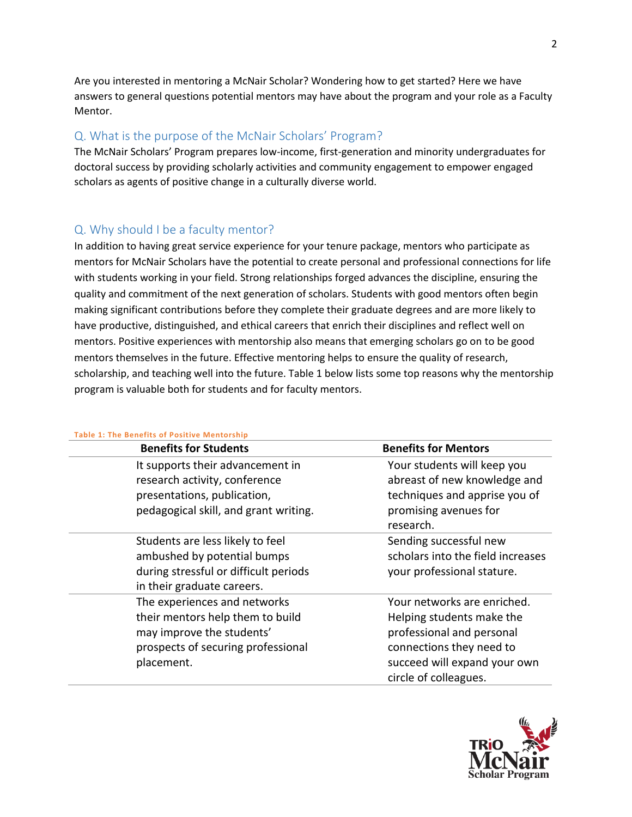Are you interested in mentoring a McNair Scholar? Wondering how to get started? Here we have answers to general questions potential mentors may have about the program and your role as a Faculty Mentor.

### <span id="page-1-0"></span>Q. What is the purpose of the McNair Scholars' Program?

The McNair Scholars' Program prepares low-income, first-generation and minority undergraduates for doctoral success by providing scholarly activities and community engagement to empower engaged scholars as agents of positive change in a culturally diverse world.

### <span id="page-1-1"></span>Q. Why should I be a faculty mentor?

In addition to having great service experience for your tenure package, mentors who participate as mentors for McNair Scholars have the potential to create personal and professional connections for life with students working in your field. Strong relationships forged advances the discipline, ensuring the quality and commitment of the next generation of scholars. Students with good mentors often begin making significant contributions before they complete their graduate degrees and are more likely to have productive, distinguished, and ethical careers that enrich their disciplines and reflect well on mentors. Positive experiences with mentorship also means that emerging scholars go on to be good mentors themselves in the future. Effective mentoring helps to ensure the quality of research, scholarship, and teaching well into the future. Table 1 below lists some top reasons why the mentorship program is valuable both for students and for faculty mentors.

| Table 1: The Benefits of Positive Mentorship |                                   |
|----------------------------------------------|-----------------------------------|
| <b>Benefits for Students</b>                 | <b>Benefits for Mentors</b>       |
| It supports their advancement in             | Your students will keep you       |
| research activity, conference                | abreast of new knowledge and      |
| presentations, publication,                  | techniques and apprise you of     |
| pedagogical skill, and grant writing.        | promising avenues for             |
|                                              | research.                         |
| Students are less likely to feel             | Sending successful new            |
| ambushed by potential bumps                  | scholars into the field increases |
| during stressful or difficult periods        | your professional stature.        |
| in their graduate careers.                   |                                   |
| The experiences and networks                 | Your networks are enriched.       |
| their mentors help them to build             | Helping students make the         |
| may improve the students'                    | professional and personal         |
| prospects of securing professional           | connections they need to          |
| placement.                                   | succeed will expand your own      |
|                                              | circle of colleagues.             |

#### **Table 1: The Benefits of Positive Mentorship**

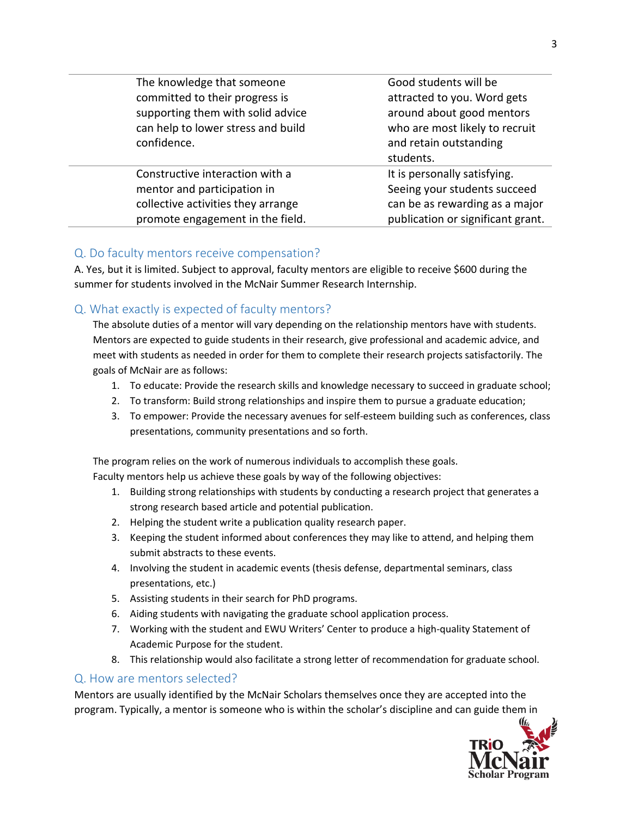| The knowledge that someone<br>committed to their progress is<br>supporting them with solid advice<br>can help to lower stress and build<br>confidence. | Good students will be<br>attracted to you. Word gets<br>around about good mentors<br>who are most likely to recruit<br>and retain outstanding<br>students. |
|--------------------------------------------------------------------------------------------------------------------------------------------------------|------------------------------------------------------------------------------------------------------------------------------------------------------------|
| Constructive interaction with a<br>mentor and participation in<br>collective activities they arrange<br>promote engagement in the field.               | It is personally satisfying.<br>Seeing your students succeed<br>can be as rewarding as a major<br>publication or significant grant.                        |
|                                                                                                                                                        |                                                                                                                                                            |

### <span id="page-2-0"></span>Q. Do faculty mentors receive compensation?

A. Yes, but it is limited. Subject to approval, faculty mentors are eligible to receive \$600 during the summer for students involved in the McNair Summer Research Internship.

### <span id="page-2-1"></span>Q. What exactly is expected of faculty mentors?

The absolute duties of a mentor will vary depending on the relationship mentors have with students. Mentors are expected to guide students in their research, give professional and academic advice, and meet with students as needed in order for them to complete their research projects satisfactorily. The goals of McNair are as follows:

- 1. To educate: Provide the research skills and knowledge necessary to succeed in graduate school;
- 2. To transform: Build strong relationships and inspire them to pursue a graduate education;
- 3. To empower: Provide the necessary avenues for self-esteem building such as conferences, class presentations, community presentations and so forth.

The program relies on the work of numerous individuals to accomplish these goals.

Faculty mentors help us achieve these goals by way of the following objectives:

- 1. Building strong relationships with students by conducting a research project that generates a strong research based article and potential publication.
- 2. Helping the student write a publication quality research paper.
- 3. Keeping the student informed about conferences they may like to attend, and helping them submit abstracts to these events.
- 4. Involving the student in academic events (thesis defense, departmental seminars, class presentations, etc.)
- 5. Assisting students in their search for PhD programs.
- 6. Aiding students with navigating the graduate school application process.
- 7. Working with the student and EWU Writers' Center to produce a high-quality Statement of Academic Purpose for the student.
- 8. This relationship would also facilitate a strong letter of recommendation for graduate school.

### <span id="page-2-2"></span>Q. How are mentors selected?

Mentors are usually identified by the McNair Scholars themselves once they are accepted into the program. Typically, a mentor is someone who is within the scholar's discipline and can guide them in

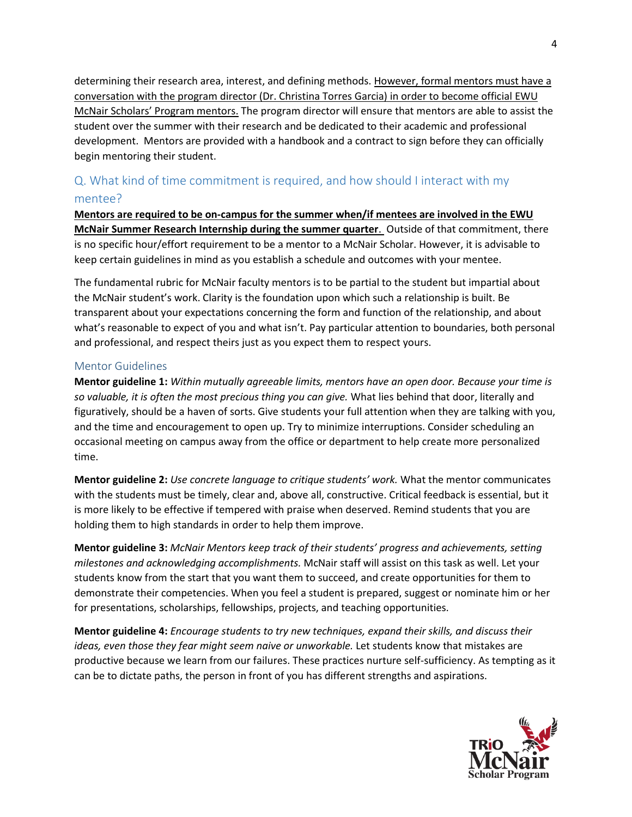determining their research area, interest, and defining methods. However, formal mentors must have a conversation with the program director (Dr. Christina Torres Garcia) in order to become official EWU McNair Scholars' Program mentors. The program director will ensure that mentors are able to assist the student over the summer with their research and be dedicated to their academic and professional development. Mentors are provided with a handbook and a contract to sign before they can officially begin mentoring their student.

# <span id="page-3-0"></span>Q. What kind of time commitment is required, and how should I interact with my mentee?

**Mentors are required to be on-campus for the summer when/if mentees are involved in the EWU McNair Summer Research Internship during the summer quarter**. Outside of that commitment, there is no specific hour/effort requirement to be a mentor to a McNair Scholar. However, it is advisable to keep certain guidelines in mind as you establish a schedule and outcomes with your mentee.

The fundamental rubric for McNair faculty mentors is to be partial to the student but impartial about the McNair student's work. Clarity is the foundation upon which such a relationship is built. Be transparent about your expectations concerning the form and function of the relationship, and about what's reasonable to expect of you and what isn't. Pay particular attention to boundaries, both personal and professional, and respect theirs just as you expect them to respect yours.

### <span id="page-3-1"></span>Mentor Guidelines

**Mentor guideline 1:** *Within mutually agreeable limits, mentors have an open door. Because your time is so valuable, it is often the most precious thing you can give.* What lies behind that door, literally and figuratively, should be a haven of sorts. Give students your full attention when they are talking with you, and the time and encouragement to open up. Try to minimize interruptions. Consider scheduling an occasional meeting on campus away from the office or department to help create more personalized time.

**Mentor guideline 2:** *Use concrete language to critique students' work.* What the mentor communicates with the students must be timely, clear and, above all, constructive. Critical feedback is essential, but it is more likely to be effective if tempered with praise when deserved. Remind students that you are holding them to high standards in order to help them improve.

**Mentor guideline 3:** *McNair Mentors keep track of their students' progress and achievements, setting milestones and acknowledging accomplishments.* McNair staff will assist on this task as well. Let your students know from the start that you want them to succeed, and create opportunities for them to demonstrate their competencies. When you feel a student is prepared, suggest or nominate him or her for presentations, scholarships, fellowships, projects, and teaching opportunities.

**Mentor guideline 4:** *Encourage students to try new techniques, expand their skills, and discuss their ideas, even those they fear might seem naive or unworkable.* Let students know that mistakes are productive because we learn from our failures. These practices nurture self-sufficiency. As tempting as it can be to dictate paths, the person in front of you has different strengths and aspirations.

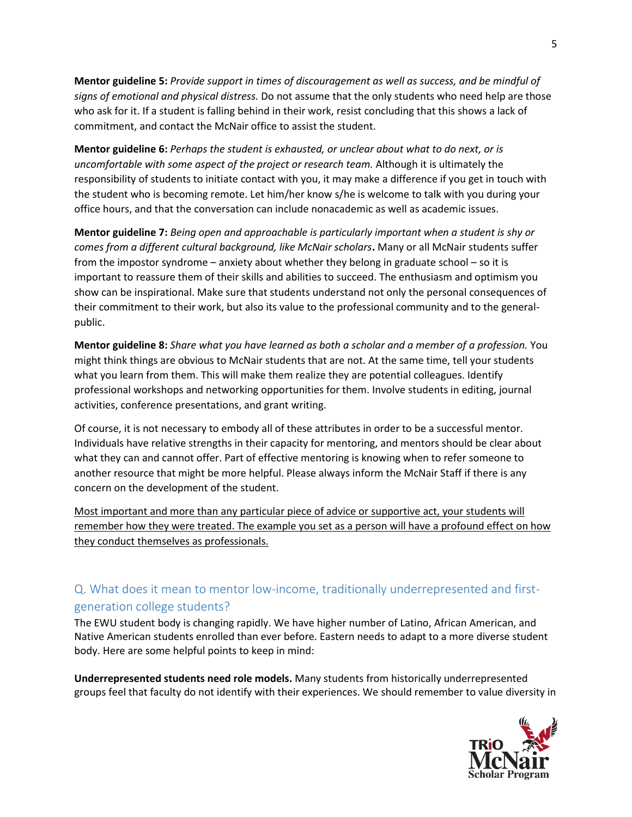**Mentor guideline 5:** *Provide support in times of discouragement as well as success, and be mindful of signs of emotional and physical distress.* Do not assume that the only students who need help are those who ask for it. If a student is falling behind in their work, resist concluding that this shows a lack of commitment, and contact the McNair office to assist the student.

**Mentor guideline 6:** *Perhaps the student is exhausted, or unclear about what to do next, or is uncomfortable with some aspect of the project or research team.* Although it is ultimately the responsibility of students to initiate contact with you, it may make a difference if you get in touch with the student who is becoming remote. Let him/her know s/he is welcome to talk with you during your office hours, and that the conversation can include nonacademic as well as academic issues.

**Mentor guideline 7:** *Being open and approachable is particularly important when a student is shy or comes from a different cultural background, like McNair scholars***.** Many or all McNair students suffer from the impostor syndrome – anxiety about whether they belong in graduate school – so it is important to reassure them of their skills and abilities to succeed. The enthusiasm and optimism you show can be inspirational. Make sure that students understand not only the personal consequences of their commitment to their work, but also its value to the professional community and to the generalpublic.

**Mentor guideline 8:** *Share what you have learned as both a scholar and a member of a profession.* You might think things are obvious to McNair students that are not. At the same time, tell your students what you learn from them. This will make them realize they are potential colleagues. Identify professional workshops and networking opportunities for them. Involve students in editing, journal activities, conference presentations, and grant writing.

Of course, it is not necessary to embody all of these attributes in order to be a successful mentor. Individuals have relative strengths in their capacity for mentoring, and mentors should be clear about what they can and cannot offer. Part of effective mentoring is knowing when to refer someone to another resource that might be more helpful. Please always inform the McNair Staff if there is any concern on the development of the student.

Most important and more than any particular piece of advice or supportive act, your students will remember how they were treated. The example you set as a person will have a profound effect on how they conduct themselves as professionals.

# <span id="page-4-0"></span>Q. What does it mean to mentor low-income, traditionally underrepresented and firstgeneration college students?

The EWU student body is changing rapidly. We have higher number of Latino, African American, and Native American students enrolled than ever before. Eastern needs to adapt to a more diverse student body. Here are some helpful points to keep in mind:

**Underrepresented students need role models.** Many students from historically underrepresented groups feel that faculty do not identify with their experiences. We should remember to value diversity in

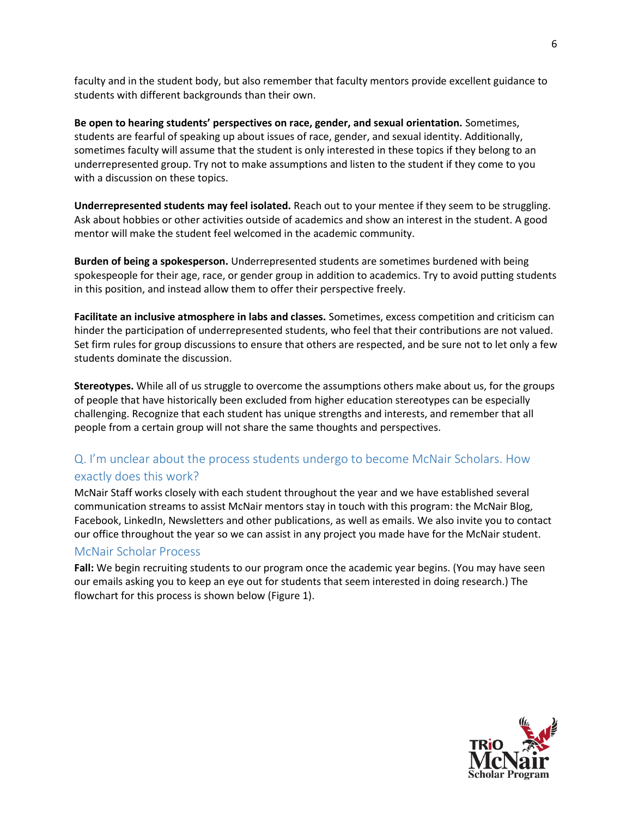faculty and in the student body, but also remember that faculty mentors provide excellent guidance to students with different backgrounds than their own.

**Be open to hearing students' perspectives on race, gender, and sexual orientation.** Sometimes, students are fearful of speaking up about issues of race, gender, and sexual identity. Additionally, sometimes faculty will assume that the student is only interested in these topics if they belong to an underrepresented group. Try not to make assumptions and listen to the student if they come to you with a discussion on these topics.

**Underrepresented students may feel isolated.** Reach out to your mentee if they seem to be struggling. Ask about hobbies or other activities outside of academics and show an interest in the student. A good mentor will make the student feel welcomed in the academic community.

**Burden of being a spokesperson.** Underrepresented students are sometimes burdened with being spokespeople for their age, race, or gender group in addition to academics. Try to avoid putting students in this position, and instead allow them to offer their perspective freely.

**Facilitate an inclusive atmosphere in labs and classes.** Sometimes, excess competition and criticism can hinder the participation of underrepresented students, who feel that their contributions are not valued. Set firm rules for group discussions to ensure that others are respected, and be sure not to let only a few students dominate the discussion.

**Stereotypes.** While all of us struggle to overcome the assumptions others make about us, for the groups of people that have historically been excluded from higher education stereotypes can be especially challenging. Recognize that each student has unique strengths and interests, and remember that all people from a certain group will not share the same thoughts and perspectives.

## <span id="page-5-0"></span>Q. I'm unclear about the process students undergo to become McNair Scholars. How exactly does this work?

McNair Staff works closely with each student throughout the year and we have established several communication streams to assist McNair mentors stay in touch with this program: the McNair Blog, Facebook, LinkedIn, Newsletters and other publications, as well as emails. We also invite you to contact our office throughout the year so we can assist in any project you made have for the McNair student.

### <span id="page-5-1"></span>McNair Scholar Process

**Fall:** We begin recruiting students to our program once the academic year begins. (You may have seen our emails asking you to keep an eye out for students that seem interested in doing research.) The flowchart for this process is shown below (Figure 1).

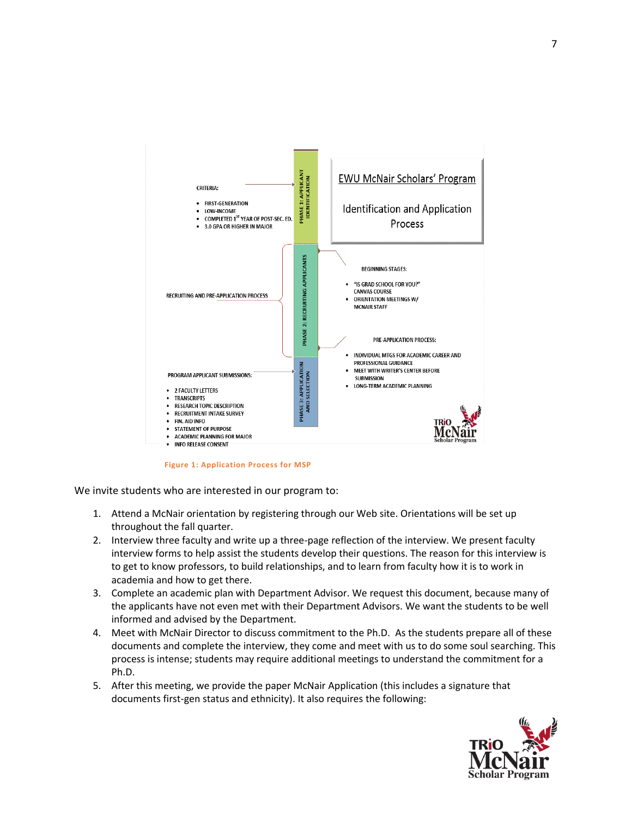

**Figure 1: Application Process for MSP**

We invite students who are interested in our program to:

- 1. Attend a McNair orientation by registering through our Web site. Orientations will be set up throughout the fall quarter.
- 2. Interview three faculty and write up a three-page reflection of the interview. We present faculty interview forms to help assist the students develop their questions. The reason for this interview is to get to know professors, to build relationships, and to learn from faculty how it is to work in academia and how to get there.
- 3. Complete an academic plan with Department Advisor. We request this document, because many of the applicants have not even met with their Department Advisors. We want the students to be well informed and advised by the Department.
- 4. Meet with McNair Director to discuss commitment to the Ph.D. As the students prepare all of these documents and complete the interview, they come and meet with us to do some soul searching. This process is intense; students may require additional meetings to understand the commitment for a Ph.D.
- 5. After this meeting, we provide the paper McNair Application (this includes a signature that documents first-gen status and ethnicity). It also requires the following:

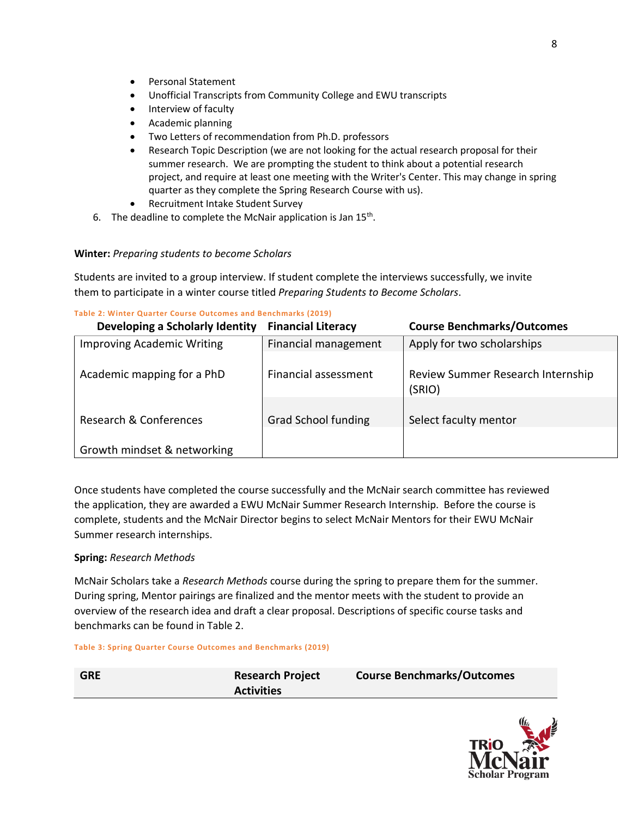- Personal Statement
- Unofficial Transcripts from Community College and EWU transcripts
- Interview of faculty
- Academic planning
- Two Letters of recommendation from Ph.D. professors
- Research Topic Description (we are not looking for the actual research proposal for their summer research. We are prompting the student to think about a potential research project, and require at least one meeting with the Writer's Center. This may change in spring quarter as they complete the Spring Research Course with us).
- Recruitment Intake Student Survey
- 6. The deadline to complete the McNair application is Jan  $15^{th}$ .

### **Winter:** *Preparing students to become Scholars*

Students are invited to a group interview. If student complete the interviews successfully, we invite them to participate in a winter course titled *Preparing Students to Become Scholars*.

#### **Table 2: Winter Quarter Course Outcomes and Benchmarks (2019)**

| Developing a Scholarly Identity   | <b>Financial Literacy</b>  | <b>Course Benchmarks/Outcomes</b>           |
|-----------------------------------|----------------------------|---------------------------------------------|
| <b>Improving Academic Writing</b> | Financial management       | Apply for two scholarships                  |
| Academic mapping for a PhD        | Financial assessment       | Review Summer Research Internship<br>(SRIO) |
| Research & Conferences            | <b>Grad School funding</b> | Select faculty mentor                       |
| Growth mindset & networking       |                            |                                             |

Once students have completed the course successfully and the McNair search committee has reviewed the application, they are awarded a EWU McNair Summer Research Internship. Before the course is complete, students and the McNair Director begins to select McNair Mentors for their EWU McNair Summer research internships.

### **Spring:** *Research Methods*

McNair Scholars take a *Research Methods* course during the spring to prepare them for the summer. During spring, Mentor pairings are finalized and the mentor meets with the student to provide an overview of the research idea and draft a clear proposal. Descriptions of specific course tasks and benchmarks can be found in Table 2.

#### **Table 3: Spring Quarter Course Outcomes and Benchmarks (2019)**

| <b>GRE</b> | <b>Research Project</b> | <b>Course Benchmarks/Outcomes</b> |
|------------|-------------------------|-----------------------------------|
|            | <b>Activities</b>       |                                   |

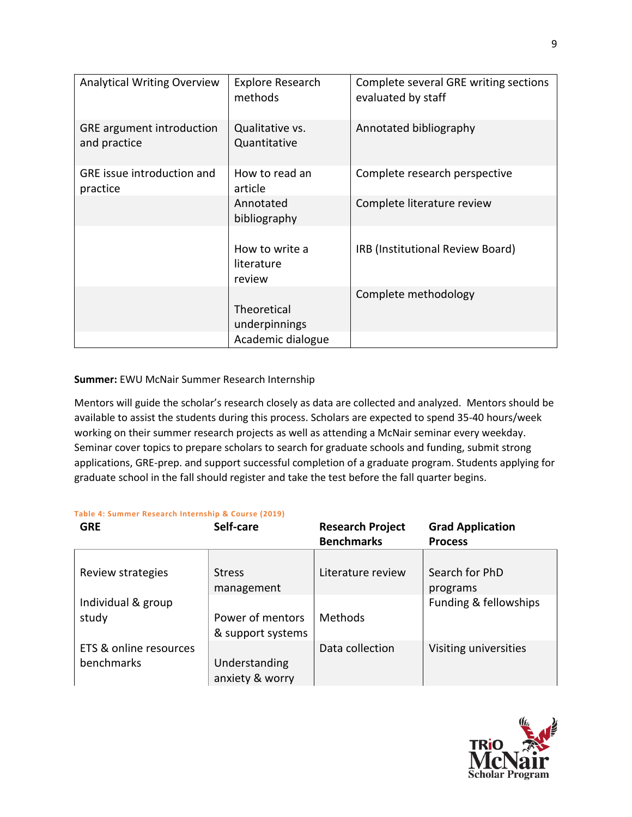| <b>Analytical Writing Overview</b>               | <b>Explore Research</b><br>methods     | Complete several GRE writing sections<br>evaluated by staff |
|--------------------------------------------------|----------------------------------------|-------------------------------------------------------------|
| <b>GRE</b> argument introduction<br>and practice | Qualitative vs.<br>Quantitative        | Annotated bibliography                                      |
| <b>GRE</b> issue introduction and<br>practice    | How to read an<br>article              | Complete research perspective                               |
|                                                  | Annotated<br>bibliography              | Complete literature review                                  |
|                                                  | How to write a<br>literature<br>review | IRB (Institutional Review Board)                            |
|                                                  | Theoretical<br>underpinnings           | Complete methodology                                        |
|                                                  | Academic dialogue                      |                                                             |

### **Summer:** EWU McNair Summer Research Internship

Mentors will guide the scholar's research closely as data are collected and analyzed. Mentors should be available to assist the students during this process. Scholars are expected to spend 35-40 hours/week working on their summer research projects as well as attending a McNair seminar every weekday. Seminar cover topics to prepare scholars to search for graduate schools and funding, submit strong applications, GRE-prep. and support successful completion of a graduate program. Students applying for graduate school in the fall should register and take the test before the fall quarter begins.

#### **Table 4: Summer Research Internship & Course (2019)**

| <b>GRE</b>                           | Self-care                             | <b>Research Project</b> | <b>Grad Application</b>    |
|--------------------------------------|---------------------------------------|-------------------------|----------------------------|
|                                      |                                       | <b>Benchmarks</b>       | <b>Process</b>             |
| Review strategies                    | <b>Stress</b><br>management           | Literature review       | Search for PhD<br>programs |
| Individual & group<br>study          | Power of mentors<br>& support systems | <b>Methods</b>          | Funding & fellowships      |
| ETS & online resources<br>benchmarks | Understanding<br>anxiety & worry      | Data collection         | Visiting universities      |